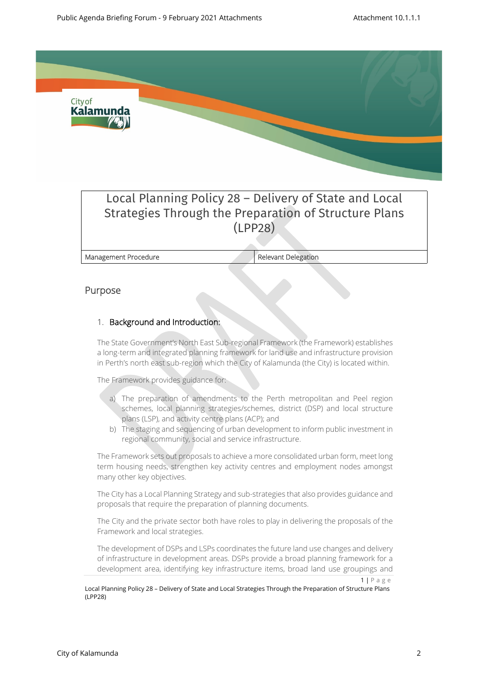

# Local Planning Policy 28 – Delivery of State and Local Strategies Through the Preparation of Structure Plans (LPP28)

**Management Procedure Relevant Delegation** 

## **Purpose**

## 1. **Background and Introduction:**

The State Government's North East Sub-regional Framework (the Framework) establishes a long-term and integrated planning framework for land use and infrastructure provision in Perth's north east sub-region which the City of Kalamunda (the City) is located within.

The Framework provides guidance for:

- a) The preparation of amendments to the Perth metropolitan and Peel region schemes, local planning strategies/schemes, district (DSP) and local structure plans (LSP), and activity centre plans (ACP); and
- b) The staging and sequencing of urban development to inform public investment in regional community, social and service infrastructure.

The Framework sets out proposals to achieve a more consolidated urban form, meet long term housing needs, strengthen key activity centres and employment nodes amongst many other key objectives.

The City has a Local Planning Strategy and sub-strategies that also provides guidance and proposals that require the preparation of planning documents.

The City and the private sector both have roles to play in delivering the proposals of the Framework and local strategies.

The development of DSPs and LSPs coordinates the future land use changes and delivery of infrastructure in development areas. DSPs provide a broad planning framework for a development area, identifying key infrastructure items, broad land use groupings and

 $1 | P a g e$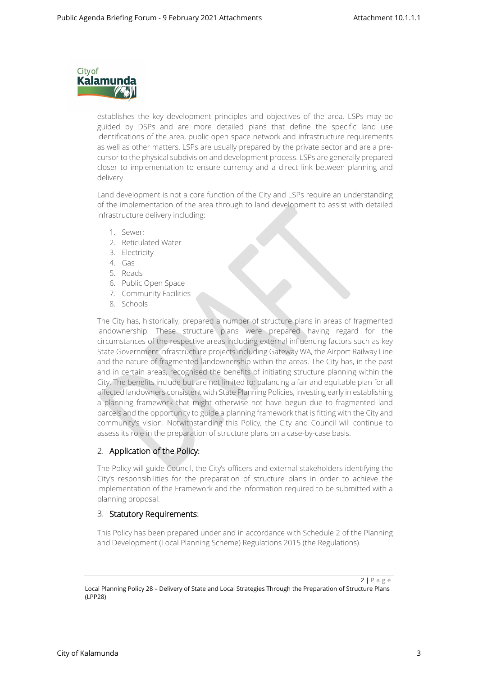

establishes the key development principles and objectives of the area. LSPs may be guided by DSPs and are more detailed plans that define the specific land use identifications of the area, public open space network and infrastructure requirements as well as other matters. LSPs are usually prepared by the private sector and are a precursor to the physical subdivision and development process. LSPs are generally prepared closer to implementation to ensure currency and a direct link between planning and delivery.

Land development is not a core function of the City and LSPs require an understanding of the implementation of the area through to land development to assist with detailed infrastructure delivery including:

- 1. Sewer;
- 2. Reticulated Water
- 3. Electricity
- 4. Gas
- 5. Roads
- 6. Public Open Space
- 7. Community Facilities
- 8. Schools

The City has, historically, prepared a number of structure plans in areas of fragmented landownership. These structure plans were prepared having regard for the circumstances of the respective areas including external influencing factors such as key State Government infrastructure projects including Gateway WA, the Airport Railway Line and the nature of fragmented landownership within the areas. The City has, in the past and in certain areas, recognised the benefits of initiating structure planning within the City. The benefits include but are not limited to; balancing a fair and equitable plan for all affected landowners consistent with State Planning Policies, investing early in establishing a planning framework that might otherwise not have begun due to fragmented land parcels and the opportunity to guide a planning framework that is fitting with the City and community's vision. Notwithstanding this Policy, the City and Council will continue to assess its role in the preparation of structure plans on a case-by-case basis.

#### 2. **Application of the Policy:**

The Policy will guide Council, the City's officers and external stakeholders identifying the City's responsibilities for the preparation of structure plans in order to achieve the implementation of the Framework and the information required to be submitted with a planning proposal.

#### 3. **Statutory Requirements:**

This Policy has been prepared under and in accordance with Schedule 2 of the Planning and Development (Local Planning Scheme) Regulations 2015 (the Regulations).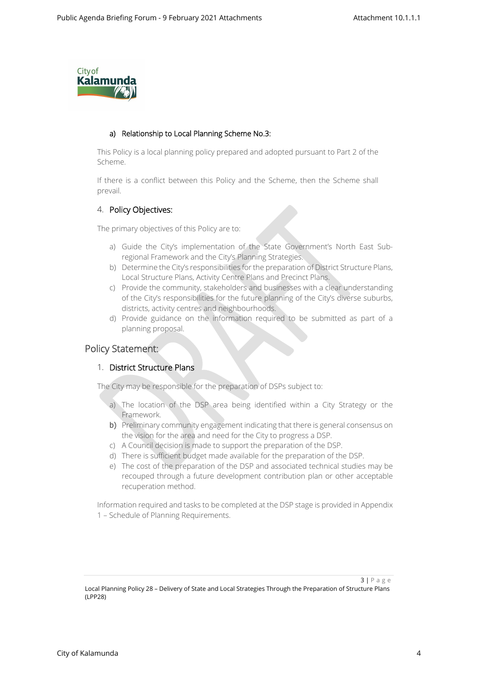

#### **a) Relationship to Local Planning Scheme No.3:**

This Policy is a local planning policy prepared and adopted pursuant to Part 2 of the Scheme.

If there is a conflict between this Policy and the Scheme, then the Scheme shall prevail.

## 4. **Policy Objectives:**

The primary objectives of this Policy are to:

- a) Guide the City's implementation of the State Government's North East Subregional Framework and the City's Planning Strategies.
- b) Determine the City's responsibilities for the preparation of District Structure Plans, Local Structure Plans, Activity Centre Plans and Precinct Plans.
- c) Provide the community, stakeholders and businesses with a clear understanding of the City's responsibilities for the future planning of the City's diverse suburbs, districts, activity centres and neighbourhoods.
- d) Provide guidance on the information required to be submitted as part of a planning proposal.

## **Policy Statement:**

#### 1. **District Structure Plans**

The City may be responsible for the preparation of DSPs subject to:

- a) The location of the DSP area being identified within a City Strategy or the Framework.
- b) Preliminary community engagement indicating that there is general consensus on the vision for the area and need for the City to progress a DSP.
- c) A Council decision is made to support the preparation of the DSP.
- d) There is sufficient budget made available for the preparation of the DSP.
- e) The cost of the preparation of the DSP and associated technical studies may be recouped through a future development contribution plan or other acceptable recuperation method.

Information required and tasks to be completed at the DSP stage is provided in Appendix 1 – Schedule of Planning Requirements.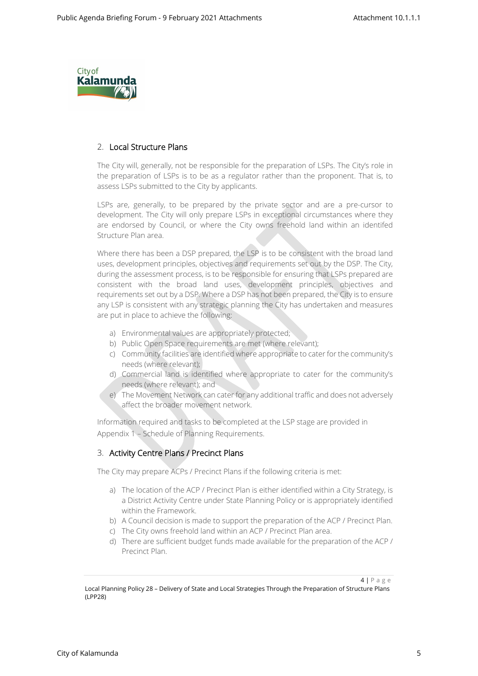

## 2. **Local Structure Plans**

The City will, generally, not be responsible for the preparation of LSPs. The City's role in the preparation of LSPs is to be as a regulator rather than the proponent. That is, to assess LSPs submitted to the City by applicants.

LSPs are, generally, to be prepared by the private sector and are a pre-cursor to development. The City will only prepare LSPs in exceptional circumstances where they are endorsed by Council, or where the City owns freehold land within an identifed Structure Plan area.

Where there has been a DSP prepared, the LSP is to be consistent with the broad land uses, development principles, objectives and requirements set out by the DSP. The City, during the assessment process, is to be responsible for ensuring that LSPs prepared are consistent with the broad land uses, development principles, objectives and requirements set out by a DSP. Where a DSP has not been prepared, the City is to ensure any LSP is consistent with any strategic planning the City has undertaken and measures are put in place to achieve the following:

- a) Environmental values are appropriately protected;
- b) Public Open Space requirements are met (where relevant);
- c) Community facilities are identified where appropriate to cater for the community's needs (where relevant);
- d) Commercial land is identified where appropriate to cater for the community's needs (where relevant); and
- e) The Movement Network can cater for any additional traffic and does not adversely affect the broader movement network.

Information required and tasks to be completed at the LSP stage are provided in Appendix 1 – Schedule of Planning Requirements.

#### 3. **Activity Centre Plans / Precinct Plans**

The City may prepare ACPs / Precinct Plans if the following criteria is met:

- a) The location of the ACP / Precinct Plan is either identified within a City Strategy, is a District Activity Centre under State Planning Policy or is appropriately identified within the Framework.
- b) A Council decision is made to support the preparation of the ACP / Precinct Plan.
- c) The City owns freehold land within an ACP / Precinct Plan area.
- d) There are sufficient budget funds made available for the preparation of the ACP / Precinct Plan.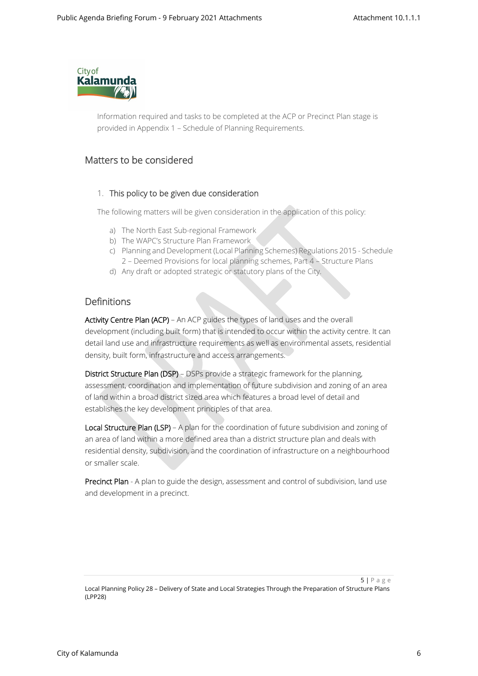

Information required and tasks to be completed at the ACP or Precinct Plan stage is provided in Appendix 1 – Schedule of Planning Requirements.

# **Matters to be considered**

#### 1. **This policy to be given due consideration**

The following matters will be given consideration in the application of this policy:

- a) The North East Sub-regional Framework
- b) The WAPC's Structure Plan Framework
- c) Planning and Development (Local Planning Schemes) Regulations 2015 Schedule 2 – Deemed Provisions for local planning schemes, Part 4 – Structure Plans
- d) Any draft or adopted strategic or statutory plans of the City.

## **Definitions**

**Activity Centre Plan (ACP)** – An ACP guides the types of land uses and the overall development (including built form) that is intended to occur within the activity centre. It can detail land use and infrastructure requirements as well as environmental assets, residential density, built form, infrastructure and access arrangements.

**District Structure Plan (DSP)** – DSPs provide a strategic framework for the planning, assessment, coordination and implementation of future subdivision and zoning of an area of land within a broad district sized area which features a broad level of detail and establishes the key development principles of that area.

**Local Structure Plan (LSP)** – A plan for the coordination of future subdivision and zoning of an area of land within a more defined area than a district structure plan and deals with residential density, subdivision, and the coordination of infrastructure on a neighbourhood or smaller scale.

**Precinct Plan** - A plan to guide the design, assessment and control of subdivision, land use and development in a precinct.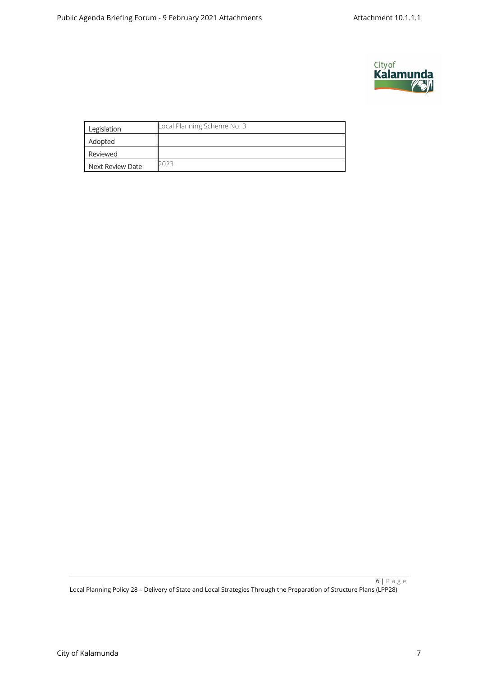

| Legislation      | Local Planning Scheme No. 3 |
|------------------|-----------------------------|
| Adopted          |                             |
| Reviewed         |                             |
| Next Review Date |                             |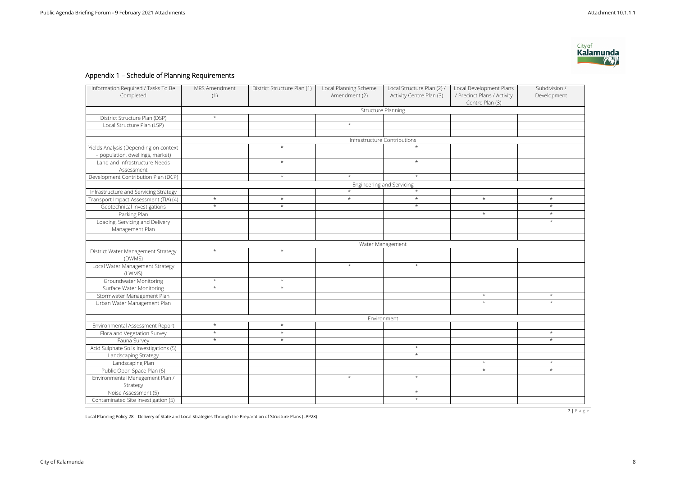7 | P a g e

Local Planning Policy 28 – Delivery of State and Local Strategies Through the Preparation of Structure Plans (LPP28)

# **Appendix 1 – Schedule of Planning Requirements**

| Information Required / Tasks To Be<br>Completed | MRS Amendment<br>(1)      | District Structure Plan (1) | Local Planning Scheme<br>Amendment (2) | Local Structure Plan (2) /<br>Activity Centre Plan (3) | Local Development Plans<br>/ Precinct Plans / Activity<br>Centre Plan (3) | Subdivision /<br>Development |  |  |  |
|-------------------------------------------------|---------------------------|-----------------------------|----------------------------------------|--------------------------------------------------------|---------------------------------------------------------------------------|------------------------------|--|--|--|
|                                                 | <b>Structure Planning</b> |                             |                                        |                                                        |                                                                           |                              |  |  |  |
| District Structure Plan (DSP)                   | $\star$                   |                             |                                        |                                                        |                                                                           |                              |  |  |  |
| Local Structure Plan (LSP)                      |                           |                             | $\star$                                |                                                        |                                                                           |                              |  |  |  |
|                                                 |                           |                             |                                        |                                                        |                                                                           |                              |  |  |  |
|                                                 |                           |                             |                                        | Infrastructure Contributions                           |                                                                           |                              |  |  |  |
| Yields Analysis (Depending on context           |                           | $\star$                     |                                        | $\star$                                                |                                                                           |                              |  |  |  |
| - population, dwellings, market)                |                           |                             |                                        |                                                        |                                                                           |                              |  |  |  |
| Land and Infrastructure Needs                   |                           | $\star$                     |                                        | $\star$                                                |                                                                           |                              |  |  |  |
| Assessment                                      |                           |                             |                                        |                                                        |                                                                           |                              |  |  |  |
| Development Contribution Plan (DCP)             |                           | $\star$                     | $\star$                                | $\star$                                                |                                                                           |                              |  |  |  |
|                                                 | Engineering and Servicing |                             |                                        |                                                        |                                                                           |                              |  |  |  |
| Infrastructure and Servicing Strategy           |                           |                             | $\star$                                | $\star$                                                |                                                                           |                              |  |  |  |
| Transport Impact Assessment (TIA) (4)           | $\star$                   | $\star$                     | $\star$                                | $\star$                                                | $^\star$                                                                  | $\star$                      |  |  |  |
| Geotechnical Investigations                     | $\star$                   | $\star$                     |                                        | $\star$                                                |                                                                           | $\star$                      |  |  |  |
| Parking Plan                                    |                           |                             |                                        |                                                        | $\star$                                                                   | $\star$                      |  |  |  |
| Loading, Servicing and Delivery                 |                           |                             |                                        |                                                        |                                                                           | $\star$                      |  |  |  |
| Management Plan                                 |                           |                             |                                        |                                                        |                                                                           |                              |  |  |  |
|                                                 |                           |                             |                                        |                                                        |                                                                           |                              |  |  |  |
|                                                 |                           |                             |                                        | Water Management                                       |                                                                           |                              |  |  |  |
| District Water Management Strategy<br>(DWMS)    | $\star$                   | $\star$                     |                                        |                                                        |                                                                           |                              |  |  |  |
| Local Water Management Strategy<br>(LWMS)       |                           |                             | $\star$                                | $\star$                                                |                                                                           |                              |  |  |  |
| Groundwater Monitoring                          | $\star$                   | $\star$                     |                                        |                                                        |                                                                           |                              |  |  |  |
| Surface Water Monitoring                        | $\star$                   | $\star$                     |                                        |                                                        |                                                                           |                              |  |  |  |
| Stormwater Management Plan                      |                           |                             |                                        |                                                        | $\star$                                                                   | $\star$                      |  |  |  |
| Urban Water Management Plan                     |                           |                             |                                        |                                                        | $\star$                                                                   | $\star$                      |  |  |  |
|                                                 |                           |                             |                                        |                                                        |                                                                           |                              |  |  |  |
|                                                 | Environment               |                             |                                        |                                                        |                                                                           |                              |  |  |  |
| Environmental Assessment Report                 | $\star$                   | $\star$                     |                                        |                                                        |                                                                           |                              |  |  |  |
| Flora and Vegetation Survey                     | $\star$                   | $\star$                     |                                        |                                                        |                                                                           | $\star$                      |  |  |  |
| Fauna Survey                                    | $\star$                   | $\star$                     |                                        |                                                        |                                                                           | $\star$                      |  |  |  |
| Acid Sulphate Soils Investigations (5)          |                           |                             |                                        | $\star$                                                |                                                                           |                              |  |  |  |
| Landscaping Strategy                            |                           |                             |                                        | $\star$                                                |                                                                           |                              |  |  |  |
| Landscaping Plan                                |                           |                             |                                        |                                                        | $\star$                                                                   | $\star$                      |  |  |  |
| Public Open Space Plan (6)                      |                           |                             |                                        |                                                        | $\star$                                                                   | $\star$                      |  |  |  |
| Environmental Management Plan /                 |                           |                             | $\star$                                | $\star$                                                |                                                                           |                              |  |  |  |
| Strategy                                        |                           |                             |                                        |                                                        |                                                                           |                              |  |  |  |
| Noise Assessment (5)                            |                           |                             |                                        | $\star$                                                |                                                                           |                              |  |  |  |
| Contaminated Site Investigation (5)             |                           |                             |                                        | $\star$                                                |                                                                           |                              |  |  |  |